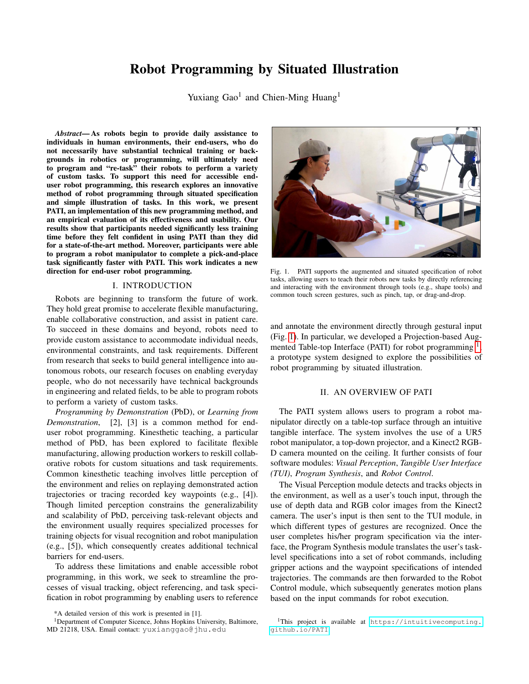# Robot Programming by Situated Illustration

Yuxiang Gao<sup>1</sup> and Chien-Ming Huang<sup>1</sup>

*Abstract*— As robots begin to provide daily assistance to individuals in human environments, their end-users, who do not necessarily have substantial technical training or backgrounds in robotics or programming, will ultimately need to program and "re-task" their robots to perform a variety of custom tasks. To support this need for accessible enduser robot programming, this research explores an innovative method of robot programming through situated specification and simple illustration of tasks. In this work, we present PATI, an implementation of this new programming method, and an empirical evaluation of its effectiveness and usability. Our results show that participants needed significantly less training time before they felt confident in using PATI than they did for a state-of-the-art method. Moreover, participants were able to program a robot manipulator to complete a pick-and-place task significantly faster with PATI. This work indicates a new direction for end-user robot programming.

# I. INTRODUCTION

Robots are beginning to transform the future of work. They hold great promise to accelerate flexible manufacturing, enable collaborative construction, and assist in patient care. To succeed in these domains and beyond, robots need to provide custom assistance to accommodate individual needs, environmental constraints, and task requirements. Different from research that seeks to build general intelligence into autonomous robots, our research focuses on enabling everyday people, who do not necessarily have technical backgrounds in engineering and related fields, to be able to program robots to perform a variety of custom tasks.

*Programming by Demonstration* (PbD), or *Learning from Demonstration*, [2], [3] is a common method for enduser robot programming. Kinesthetic teaching, a particular method of PbD, has been explored to facilitate flexible manufacturing, allowing production workers to reskill collaborative robots for custom situations and task requirements. Common kinesthetic teaching involves little perception of the environment and relies on replaying demonstrated action trajectories or tracing recorded key waypoints (e.g., [4]). Though limited perception constrains the generalizability and scalability of PbD, perceiving task-relevant objects and the environment usually requires specialized processes for training objects for visual recognition and robot manipulation (e.g., [5]), which consequently creates additional technical barriers for end-users.

To address these limitations and enable accessible robot programming, in this work, we seek to streamline the processes of visual tracking, object referencing, and task specification in robot programming by enabling users to reference



Fig. 1. PATI supports the augmented and situated specification of robot tasks, allowing users to teach their robots new tasks by directly referencing and interacting with the environment through tools (e.g., shape tools) and common touch screen gestures, such as pinch, tap, or drag-and-drop.

<span id="page-0-0"></span>and annotate the environment directly through gestural input (Fig. [1\)](#page-0-0). In particular, we developed a Projection-based Aug-mented Table-top Interface (PATI) for robot programming <sup>[1](#page-0-1)</sup> , a prototype system designed to explore the possibilities of robot programming by situated illustration.

### II. AN OVERVIEW OF PATI

The PATI system allows users to program a robot manipulator directly on a table-top surface through an intuitive tangible interface. The system involves the use of a UR5 robot manipulator, a top-down projector, and a Kinect2 RGB-D camera mounted on the ceiling. It further consists of four software modules: *Visual Perception*, *Tangible User Interface (TUI)*, *Program Synthesis*, and *Robot Control*.

The Visual Perception module detects and tracks objects in the environment, as well as a user's touch input, through the use of depth data and RGB color images from the Kinect2 camera. The user's input is then sent to the TUI module, in which different types of gestures are recognized. Once the user completes his/her program specification via the interface, the Program Synthesis module translates the user's tasklevel specifications into a set of robot commands, including gripper actions and the waypoint specifications of intended trajectories. The commands are then forwarded to the Robot Control module, which subsequently generates motion plans based on the input commands for robot execution.

<sup>\*</sup>A detailed version of this work is presented in [1].

<sup>&</sup>lt;sup>1</sup>Department of Computer Sicence, Johns Hopkins University, Baltimore, MD 21218, USA. Email contact: yuxianggao@jhu.edu

<span id="page-0-1"></span><sup>&</sup>lt;sup>1</sup>This project is available at [https://intuitivecomputing.](https://intuitivecomputing.github.io/PATI) [github.io/PATI](https://intuitivecomputing.github.io/PATI).